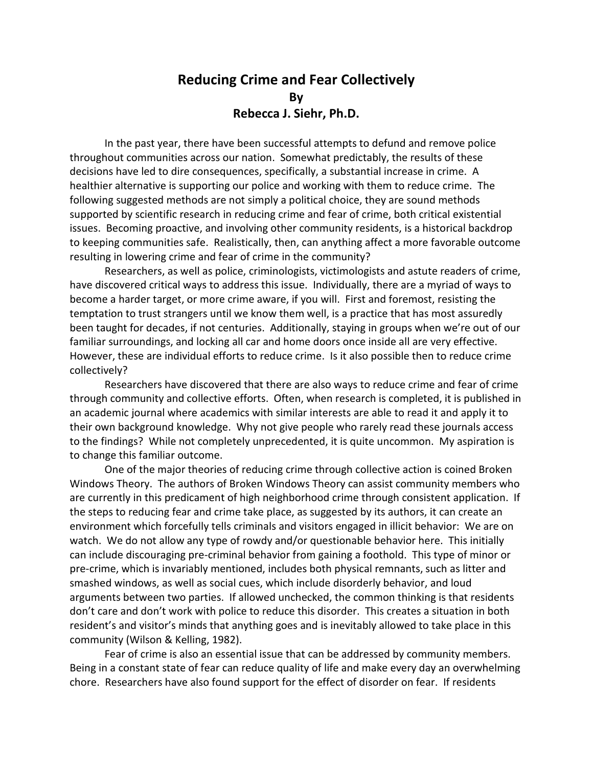## **Reducing Crime and Fear Collectively By Rebecca J. Siehr, Ph.D.**

In the past year, there have been successful attempts to defund and remove police throughout communities across our nation. Somewhat predictably, the results of these decisions have led to dire consequences, specifically, a substantial increase in crime. A healthier alternative is supporting our police and working with them to reduce crime. The following suggested methods are not simply a political choice, they are sound methods supported by scientific research in reducing crime and fear of crime, both critical existential issues. Becoming proactive, and involving other community residents, is a historical backdrop to keeping communities safe. Realistically, then, can anything affect a more favorable outcome resulting in lowering crime and fear of crime in the community?

Researchers, as well as police, criminologists, victimologists and astute readers of crime, have discovered critical ways to address this issue. Individually, there are a myriad of ways to become a harder target, or more crime aware, if you will. First and foremost, resisting the temptation to trust strangers until we know them well, is a practice that has most assuredly been taught for decades, if not centuries. Additionally, staying in groups when we're out of our familiar surroundings, and locking all car and home doors once inside all are very effective. However, these are individual efforts to reduce crime. Is it also possible then to reduce crime collectively?

Researchers have discovered that there are also ways to reduce crime and fear of crime through community and collective efforts. Often, when research is completed, it is published in an academic journal where academics with similar interests are able to read it and apply it to their own background knowledge. Why not give people who rarely read these journals access to the findings? While not completely unprecedented, it is quite uncommon. My aspiration is to change this familiar outcome.

One of the major theories of reducing crime through collective action is coined Broken Windows Theory. The authors of Broken Windows Theory can assist community members who are currently in this predicament of high neighborhood crime through consistent application. If the steps to reducing fear and crime take place, as suggested by its authors, it can create an environment which forcefully tells criminals and visitors engaged in illicit behavior: We are on watch. We do not allow any type of rowdy and/or questionable behavior here. This initially can include discouraging pre-criminal behavior from gaining a foothold. This type of minor or pre-crime, which is invariably mentioned, includes both physical remnants, such as litter and smashed windows, as well as social cues, which include disorderly behavior, and loud arguments between two parties. If allowed unchecked, the common thinking is that residents don't care and don't work with police to reduce this disorder. This creates a situation in both resident's and visitor's minds that anything goes and is inevitably allowed to take place in this community (Wilson & Kelling, 1982).

Fear of crime is also an essential issue that can be addressed by community members. Being in a constant state of fear can reduce quality of life and make every day an overwhelming chore. Researchers have also found support for the effect of disorder on fear. If residents